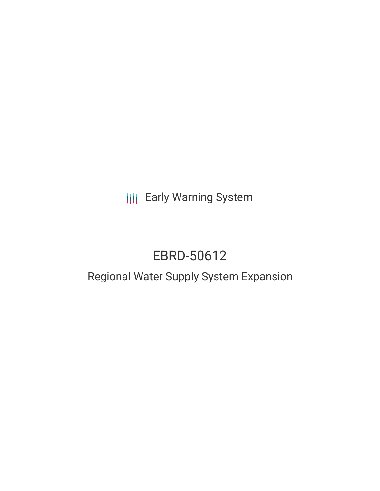**III** Early Warning System

# EBRD-50612

## Regional Water Supply System Expansion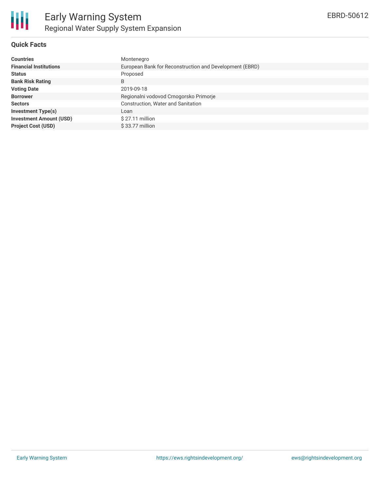

#### **Quick Facts**

| <b>Countries</b>               | Montenegro                                              |
|--------------------------------|---------------------------------------------------------|
| <b>Financial Institutions</b>  | European Bank for Reconstruction and Development (EBRD) |
| <b>Status</b>                  | Proposed                                                |
| <b>Bank Risk Rating</b>        | B                                                       |
| <b>Voting Date</b>             | 2019-09-18                                              |
| <b>Borrower</b>                | Regionalni vodovod Crnogorsko Primorje                  |
| <b>Sectors</b>                 | Construction, Water and Sanitation                      |
| <b>Investment Type(s)</b>      | Loan                                                    |
| <b>Investment Amount (USD)</b> | $$27.11$ million                                        |
| <b>Project Cost (USD)</b>      | $$33.77$ million                                        |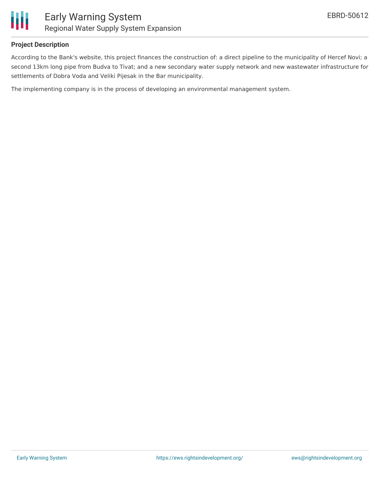

#### **Project Description**

According to the Bank's website, this project finances the construction of: a direct pipeline to the municipality of Hercef Novi; a second 13km long pipe from Budva to Tivat; and a new secondary water supply network and new wastewater infrastructure for settlements of Dobra Voda and Veliki Pijesak in the Bar municipality.

The implementing company is in the process of developing an environmental management system.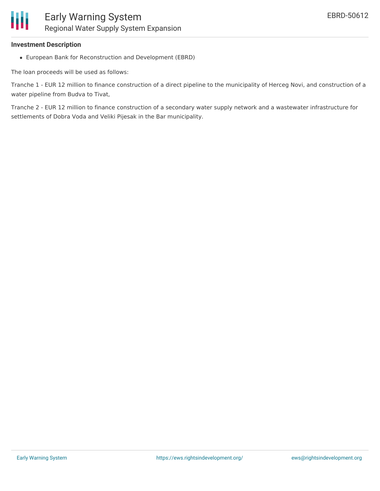#### **Investment Description**

European Bank for Reconstruction and Development (EBRD)

The loan proceeds will be used as follows:

Tranche 1 - EUR 12 million to finance construction of a direct pipeline to the municipality of Herceg Novi, and construction of a water pipeline from Budva to Tivat,

Tranche 2 - EUR 12 million to finance construction of a secondary water supply network and a wastewater infrastructure for settlements of Dobra Voda and Veliki Pijesak in the Bar municipality.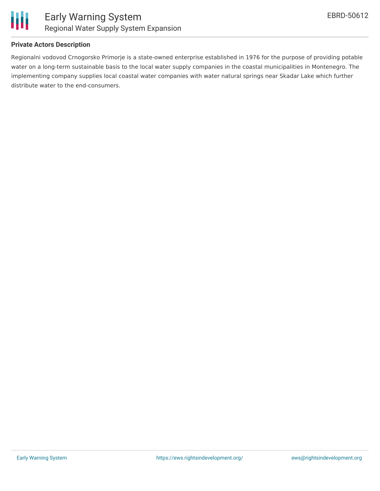



#### **Private Actors Description**

Regionalni vodovod Crnogorsko Primorje is a state-owned enterprise established in 1976 for the purpose of providing potable water on a long-term sustainable basis to the local water supply companies in the coastal municipalities in Montenegro. The implementing company supplies local coastal water companies with water natural springs near Skadar Lake which further distribute water to the end-consumers.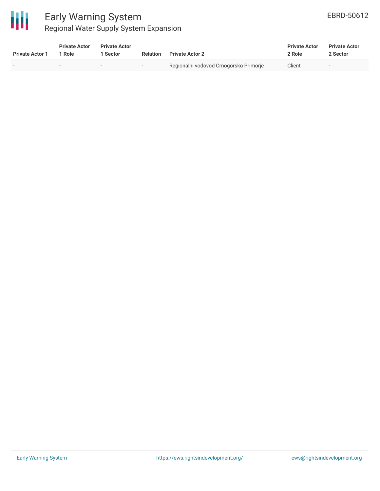

### Early Warning System Regional Water Supply System Expansion

| <b>Private Actor 1</b> | <b>Private Actor</b><br>1 Role | <b>Private Actor</b><br>1 Sector | Relation                 | <b>Private Actor 2</b>                 | <b>Private Actor</b><br>2 Role | <b>Private Actor</b><br>2 Sector |  |
|------------------------|--------------------------------|----------------------------------|--------------------------|----------------------------------------|--------------------------------|----------------------------------|--|
|                        |                                | $\overline{\phantom{a}}$         | $\overline{\phantom{0}}$ | Regionalni vodovod Crnogorsko Primorje | Client                         | $\sim$                           |  |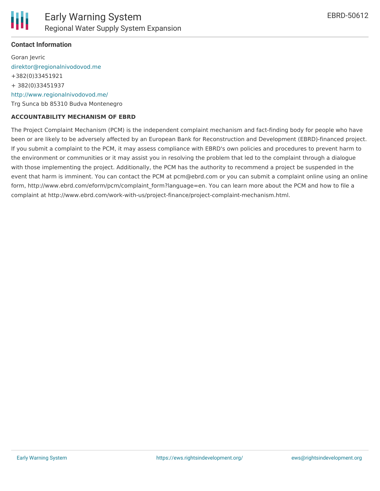

#### **Contact Information**

Goran Jevric [direktor@regionalnivodovod.me](mailto:direktor@regionalnivodovod.me) +382(0)33451921 + 382(0)33451937 <http://www.regionalnivodovod.me/> Trg Sunca bb 85310 Budva Montenegro

#### **ACCOUNTABILITY MECHANISM OF EBRD**

The Project Complaint Mechanism (PCM) is the independent complaint mechanism and fact-finding body for people who have been or are likely to be adversely affected by an European Bank for Reconstruction and Development (EBRD)-financed project. If you submit a complaint to the PCM, it may assess compliance with EBRD's own policies and procedures to prevent harm to the environment or communities or it may assist you in resolving the problem that led to the complaint through a dialogue with those implementing the project. Additionally, the PCM has the authority to recommend a project be suspended in the event that harm is imminent. You can contact the PCM at pcm@ebrd.com or you can submit a complaint online using an online form, http://www.ebrd.com/eform/pcm/complaint\_form?language=en. You can learn more about the PCM and how to file a complaint at http://www.ebrd.com/work-with-us/project-finance/project-complaint-mechanism.html.